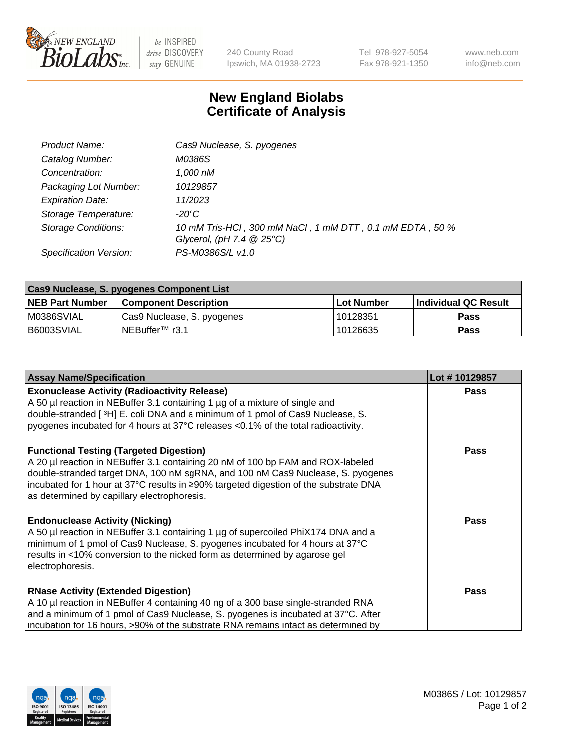

be INSPIRED drive DISCOVERY stay GENUINE

240 County Road Ipswich, MA 01938-2723 Tel 978-927-5054 Fax 978-921-1350 www.neb.com info@neb.com

## **New England Biolabs Certificate of Analysis**

| Product Name:              | Cas9 Nuclease, S. pyogenes                                                              |
|----------------------------|-----------------------------------------------------------------------------------------|
| Catalog Number:            | M0386S                                                                                  |
| Concentration:             | 1,000 nM                                                                                |
| Packaging Lot Number:      | 10129857                                                                                |
| <b>Expiration Date:</b>    | 11/2023                                                                                 |
| Storage Temperature:       | -20°C                                                                                   |
| <b>Storage Conditions:</b> | 10 mM Tris-HCl, 300 mM NaCl, 1 mM DTT, 0.1 mM EDTA, 50 %<br>Glycerol, (pH 7.4 $@25°C$ ) |
| Specification Version:     | PS-M0386S/L v1.0                                                                        |

| <b>Cas9 Nuclease, S. pyogenes Component List</b> |                              |                   |                      |  |  |
|--------------------------------------------------|------------------------------|-------------------|----------------------|--|--|
| <b>NEB Part Number</b>                           | <b>Component Description</b> | <b>Lot Number</b> | Individual QC Result |  |  |
| IM0386SVIAL                                      | Cas9 Nuclease, S. pyogenes   | 10128351          | Pass                 |  |  |
| I B6003SVIAL                                     | INEBuffer <sup>™</sup> r3.1  | 10126635          | Pass                 |  |  |

| <b>Assay Name/Specification</b>                                                                                                                                                                                                                                                                                                                              | Lot #10129857 |
|--------------------------------------------------------------------------------------------------------------------------------------------------------------------------------------------------------------------------------------------------------------------------------------------------------------------------------------------------------------|---------------|
| <b>Exonuclease Activity (Radioactivity Release)</b><br>A 50 µl reaction in NEBuffer 3.1 containing 1 µg of a mixture of single and<br>double-stranded [ <sup>3</sup> H] E. coli DNA and a minimum of 1 pmol of Cas9 Nuclease, S.<br>pyogenes incubated for 4 hours at 37°C releases <0.1% of the total radioactivity.                                        | <b>Pass</b>   |
| <b>Functional Testing (Targeted Digestion)</b><br>A 20 µl reaction in NEBuffer 3.1 containing 20 nM of 100 bp FAM and ROX-labeled<br>double-stranded target DNA, 100 nM sgRNA, and 100 nM Cas9 Nuclease, S. pyogenes<br> incubated for 1 hour at 37°C results in ≥90% targeted digestion of the substrate DNA<br>as determined by capillary electrophoresis. | <b>Pass</b>   |
| <b>Endonuclease Activity (Nicking)</b><br>A 50 µl reaction in NEBuffer 3.1 containing 1 µg of supercoiled PhiX174 DNA and a<br>minimum of 1 pmol of Cas9 Nuclease, S. pyogenes incubated for 4 hours at 37°C<br>results in <10% conversion to the nicked form as determined by agarose gel<br>electrophoresis.                                               | Pass          |
| <b>RNase Activity (Extended Digestion)</b><br>A 10 µl reaction in NEBuffer 4 containing 40 ng of a 300 base single-stranded RNA<br>and a minimum of 1 pmol of Cas9 Nuclease, S. pyogenes is incubated at 37°C. After<br>incubation for 16 hours, >90% of the substrate RNA remains intact as determined by                                                   | <b>Pass</b>   |